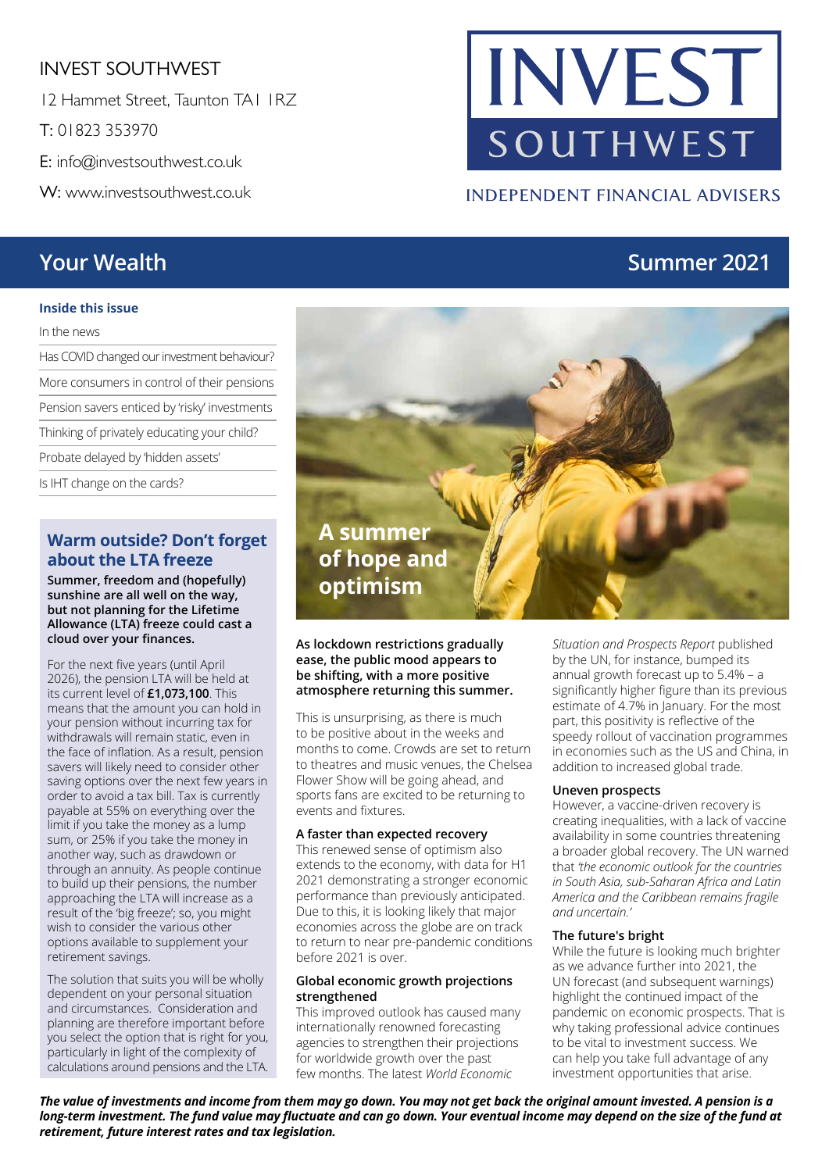#### INVEST SOUTHWEST

12 Hammet Street, Taunton TA1 1RZ

T: 01823 353970

E: info@investsouthwest.co.uk

W: www.investsouthwest.co.uk

#### **Inside this issue**

In the news

Has COVID changed our investment behaviour? More consumers in control of their pensions Pension savers enticed by 'risky' investments Thinking of privately educating your child? Probate delayed by 'hidden assets' Is IHT change on the cards?

#### **Warm outside? Don't forget about the LTA freeze**

**Summer, freedom and (hopefully) sunshine are all well on the way, but not planning for the Lifetime Allowance (LTA) freeze could cast a cloud over your finances.**

For the next five years (until April 2026), the pension LTA will be held at its current level of **£1,073,100**. This means that the amount you can hold in your pension without incurring tax for withdrawals will remain static, even in the face of inflation. As a result, pension savers will likely need to consider other saving options over the next few years in order to avoid a tax bill. Tax is currently payable at 55% on everything over the limit if you take the money as a lump sum, or 25% if you take the money in another way, such as drawdown or through an annuity. As people continue to build up their pensions, the number approaching the LTA will increase as a result of the 'big freeze'; so, you might wish to consider the various other options available to supplement your retirement savings.

The solution that suits you will be wholly dependent on your personal situation and circumstances. Consideration and planning are therefore important before you select the option that is right for you, particularly in light of the complexity of calculations around pensions and the LTA.

# SOUTHWEST

#### **INDEPENDENT FINANCIAL ADVISERS**

INVEST

### **Your Wealth Summer 2021**

#### **As lockdown restrictions gradually ease, the public mood appears to be shifting, with a more positive atmosphere returning this summer.**

This is unsurprising, as there is much to be positive about in the weeks and months to come. Crowds are set to return to theatres and music venues, the Chelsea Flower Show will be going ahead, and sports fans are excited to be returning to events and fixtures.

#### **A faster than expected recovery**

This renewed sense of optimism also extends to the economy, with data for H1 2021 demonstrating a stronger economic performance than previously anticipated. Due to this, it is looking likely that major economies across the globe are on track to return to near pre-pandemic conditions before 2021 is over.

#### **Global economic growth projections strengthened**

This improved outlook has caused many internationally renowned forecasting agencies to strengthen their projections for worldwide growth over the past few months. The latest *World Economic* 

*Situation and Prospects Report* published by the UN, for instance, bumped its annual growth forecast up to 5.4% – a significantly higher figure than its previous estimate of 4.7% in January. For the most part, this positivity is reflective of the speedy rollout of vaccination programmes in economies such as the US and China, in addition to increased global trade.

#### **Uneven prospects**

However, a vaccine-driven recovery is creating inequalities, with a lack of vaccine availability in some countries threatening a broader global recovery. The UN warned that *'the economic outlook for the countries in South Asia, sub-Saharan Africa and Latin America and the Caribbean remains fragile and uncertain.'*

#### **The future's bright**

While the future is looking much brighter as we advance further into 2021, the UN forecast (and subsequent warnings) highlight the continued impact of the pandemic on economic prospects. That is why taking professional advice continues to be vital to investment success. We can help you take full advantage of any investment opportunities that arise.

*The value of investments and income from them may go down. You may not get back the original amount invested. A pension is a long-term investment. The fund value may fluctuate and can go down. Your eventual income may depend on the size of the fund at retirement, future interest rates and tax legislation.* 

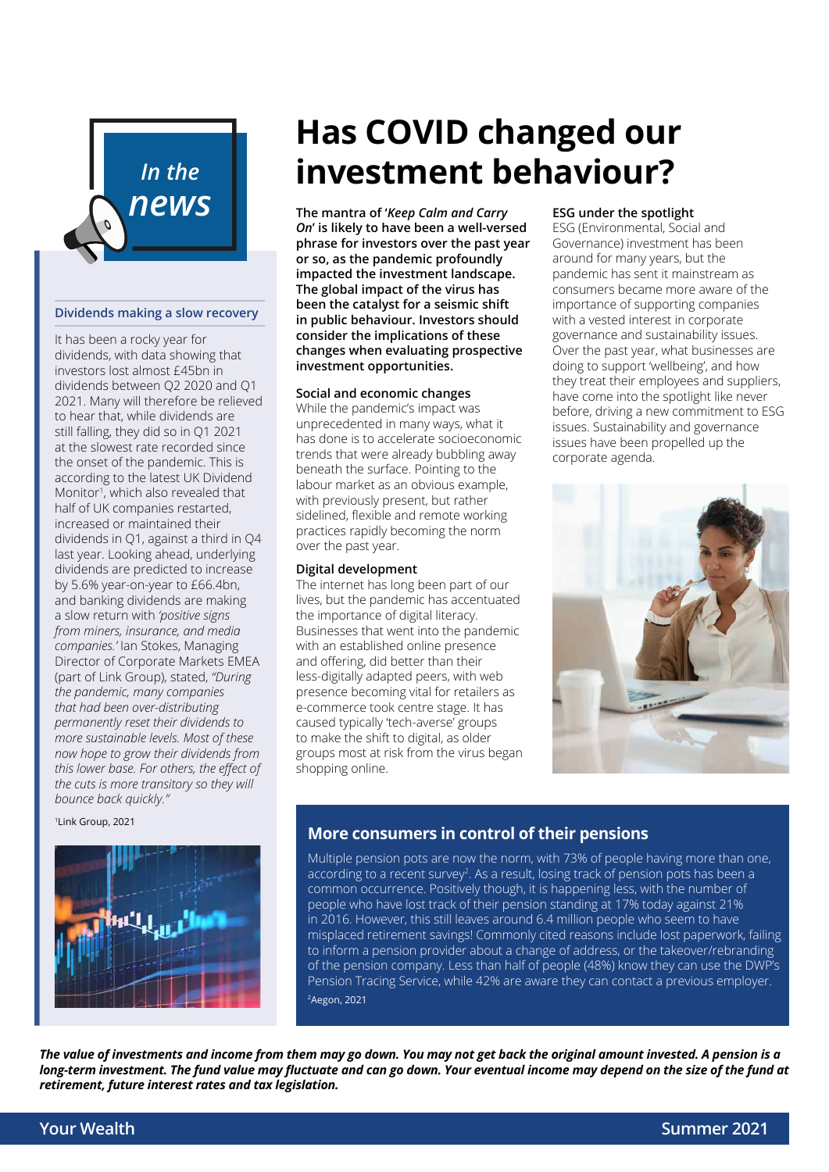

#### **Dividends making a slow recovery**

It has been a rocky year for dividends, with data showing that investors lost almost £45bn in dividends between Q2 2020 and Q1 2021. Many will therefore be relieved to hear that, while dividends are still falling, they did so in Q1 2021 at the slowest rate recorded since the onset of the pandemic. This is according to the latest UK Dividend Monitor<sup>1</sup>, which also revealed that half of UK companies restarted, increased or maintained their dividends in Q1, against a third in Q4 last year. Looking ahead, underlying dividends are predicted to increase by 5.6% year-on-year to £66.4bn, and banking dividends are making a slow return with *'positive signs from miners, insurance, and media companies.'* Ian Stokes, Managing Director of Corporate Markets EMEA (part of Link Group), stated, *"During the pandemic, many companies that had been over-distributing permanently reset their dividends to more sustainable levels. Most of these now hope to grow their dividends from this lower base. For others, the effect of the cuts is more transitory so they will bounce back quickly."*

1Link Group, 2021



### **Has COVID changed our investment behaviour?**

*On***' is likely to have been a well-versed phrase for investors over the past year or so, as the pandemic profoundly impacted the investment landscape. The global impact of the virus has been the catalyst for a seismic shift in public behaviour. Investors should consider the implications of these changes when evaluating prospective investment opportunities.**

#### **Social and economic changes**

While the pandemic's impact was unprecedented in many ways, what it has done is to accelerate socioeconomic trends that were already bubbling away beneath the surface. Pointing to the labour market as an obvious example, with previously present, but rather sidelined, flexible and remote working practices rapidly becoming the norm over the past year.

#### **Digital development**

The internet has long been part of our lives, but the pandemic has accentuated the importance of digital literacy. Businesses that went into the pandemic with an established online presence and offering, did better than their less-digitally adapted peers, with web presence becoming vital for retailers as e-commerce took centre stage. It has caused typically 'tech-averse' groups to make the shift to digital, as older groups most at risk from the virus began shopping online.

#### **ESG under the spotlight**

ESG (Environmental, Social and Governance) investment has been around for many years, but the pandemic has sent it mainstream as consumers became more aware of the importance of supporting companies with a vested interest in corporate governance and sustainability issues. Over the past year, what businesses are doing to support 'wellbeing', and how they treat their employees and suppliers, have come into the spotlight like never before, driving a new commitment to ESG issues. Sustainability and governance issues have been propelled up the corporate agenda.



#### **More consumers in control of their pensions**

Multiple pension pots are now the norm, with 73% of people having more than one, according to a recent survey<sup>2</sup>. As a result, losing track of pension pots has been a common occurrence. Positively though, it is happening less, with the number of people who have lost track of their pension standing at 17% today against 21% in 2016. However, this still leaves around 6.4 million people who seem to have misplaced retirement savings! Commonly cited reasons include lost paperwork, failing to inform a pension provider about a change of address, or the takeover/rebranding of the pension company. Less than half of people (48%) know they can use the DWP's Pension Tracing Service, while 42% are aware they can contact a previous employer. 2Aegon, 2021

*The value of investments and income from them may go down. You may not get back the original amount invested. A pension is a long-term investment. The fund value may fluctuate and can go down. Your eventual income may depend on the size of the fund at retirement, future interest rates and tax legislation.*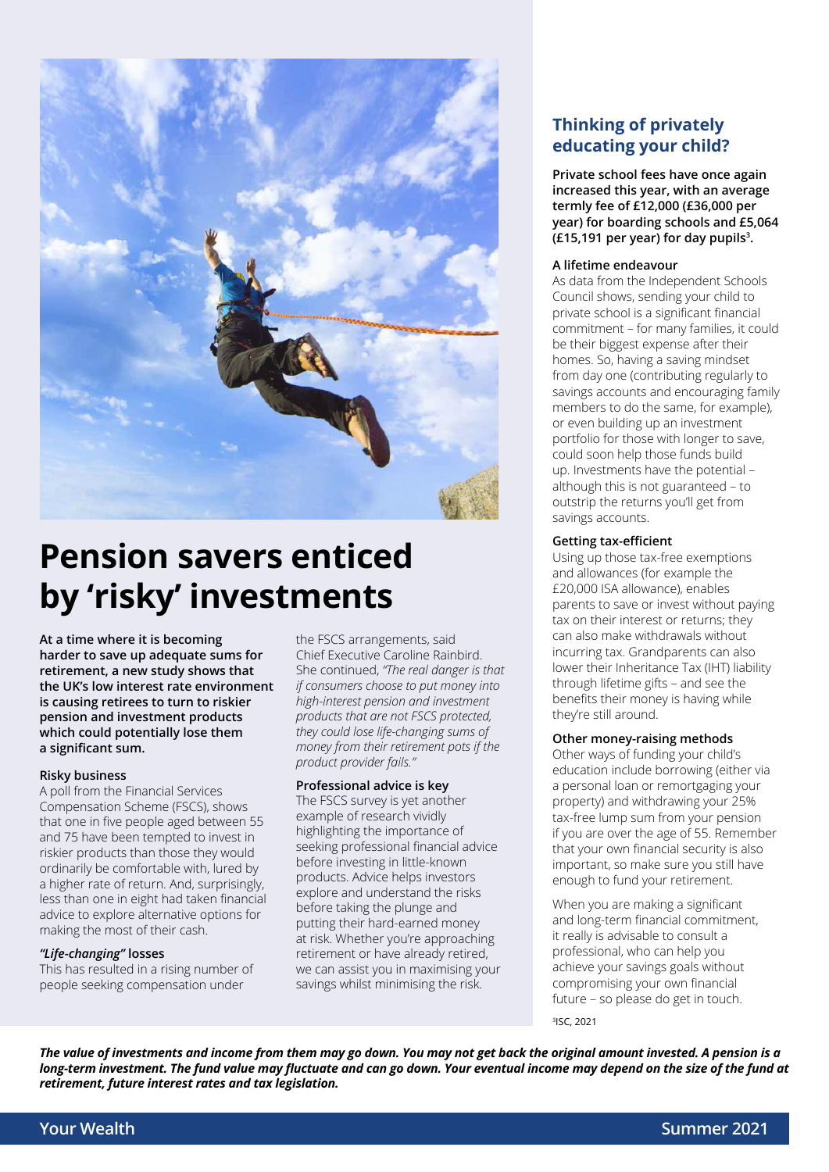

### **Pension savers enticed by 'risky' investments**

**At a time where it is becoming harder to save up adequate sums for retirement, a new study shows that the UK's low interest rate environment is causing retirees to turn to riskier pension and investment products which could potentially lose them a significant sum.** 

#### **Risky business**

A poll from the Financial Services Compensation Scheme (FSCS), shows that one in five people aged between 55 and 75 have been tempted to invest in riskier products than those they would ordinarily be comfortable with, lured by a higher rate of return. And, surprisingly, less than one in eight had taken financial advice to explore alternative options for making the most of their cash.

#### *"Life-changing"* **losses**

This has resulted in a rising number of people seeking compensation under

the FSCS arrangements, said Chief Executive Caroline Rainbird. She continued, *"The real danger is that if consumers choose to put money into high-interest pension and investment products that are not FSCS protected, they could lose life-changing sums of money from their retirement pots if the product provider fails."*

#### **Professional advice is key**

The FSCS survey is yet another example of research vividly highlighting the importance of seeking professional financial advice before investing in little-known products. Advice helps investors explore and understand the risks before taking the plunge and putting their hard-earned money at risk. Whether you're approaching retirement or have already retired, we can assist you in maximising your savings whilst minimising the risk.

#### **Thinking of privately educating your child?**

**Private school fees have once again increased this year, with an average termly fee of £12,000 (£36,000 per year) for boarding schools and £5,064 (£15,191 per year) for day pupils3 .** 

#### **A lifetime endeavour**

As data from the Independent Schools Council shows, sending your child to private school is a significant financial commitment – for many families, it could be their biggest expense after their homes. So, having a saving mindset from day one (contributing regularly to savings accounts and encouraging family members to do the same, for example), or even building up an investment portfolio for those with longer to save, could soon help those funds build up. Investments have the potential – although this is not guaranteed – to outstrip the returns you'll get from savings accounts.

#### **Getting tax-efficient**

Using up those tax-free exemptions and allowances (for example the £20,000 ISA allowance), enables parents to save or invest without paying tax on their interest or returns; they can also make withdrawals without incurring tax. Grandparents can also lower their Inheritance Tax (IHT) liability through lifetime gifts – and see the benefits their money is having while they're still around.

#### **Other money-raising methods**

Other ways of funding your child's education include borrowing (either via a personal loan or remortgaging your property) and withdrawing your 25% tax-free lump sum from your pension if you are over the age of 55. Remember that your own financial security is also important, so make sure you still have enough to fund your retirement.

When you are making a significant and long-term financial commitment, it really is advisable to consult a professional, who can help you achieve your savings goals without compromising your own financial future – so please do get in touch.

3ISC, 2021

*The value of investments and income from them may go down. You may not get back the original amount invested. A pension is a long-term investment. The fund value may fluctuate and can go down. Your eventual income may depend on the size of the fund at retirement, future interest rates and tax legislation.*